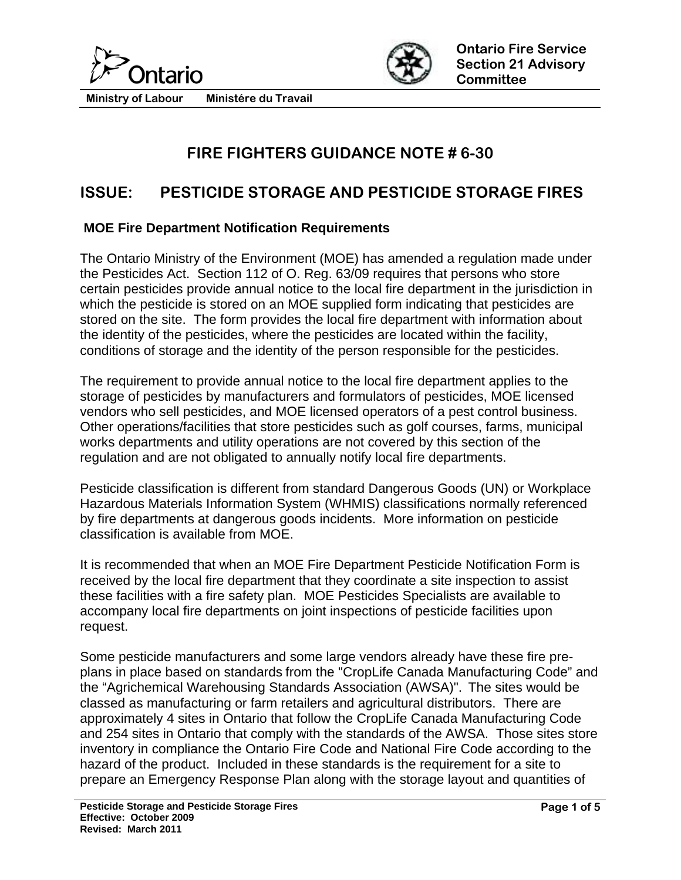



# **FIRE FIGHTERS GUIDANCE NOTE # 6-30**

## **ISSUE: PESTICIDE STORAGE AND PESTICIDE STORAGE FIRES**

#### **MOE Fire Department Notification Requirements**

The Ontario Ministry of the Environment (MOE) has amended a regulation made under the Pesticides Act. Section 112 of O. Reg. 63/09 requires that persons who store certain pesticides provide annual notice to the local fire department in the jurisdiction in which the pesticide is stored on an MOE supplied form indicating that pesticides are stored on the site. The form provides the local fire department with information about the identity of the pesticides, where the pesticides are located within the facility, conditions of storage and the identity of the person responsible for the pesticides.

The requirement to provide annual notice to the local fire department applies to the storage of pesticides by manufacturers and formulators of pesticides, MOE licensed vendors who sell pesticides, and MOE licensed operators of a pest control business. Other operations/facilities that store pesticides such as golf courses, farms, municipal works departments and utility operations are not covered by this section of the regulation and are not obligated to annually notify local fire departments.

Pesticide classification is different from standard Dangerous Goods (UN) or Workplace Hazardous Materials Information System (WHMIS) classifications normally referenced by fire departments at dangerous goods incidents. More information on pesticide classification is available from MOE.

It is recommended that when an MOE Fire Department Pesticide Notification Form is received by the local fire department that they coordinate a site inspection to assist these facilities with a fire safety plan. MOE Pesticides Specialists are available to accompany local fire departments on joint inspections of pesticide facilities upon request.

Some pesticide manufacturers and some large vendors already have these fire preplans in place based on standards from the "CropLife Canada Manufacturing Code" and the "Agrichemical Warehousing Standards Association (AWSA)". The sites would be classed as manufacturing or farm retailers and agricultural distributors. There are approximately 4 sites in Ontario that follow the CropLife Canada Manufacturing Code and 254 sites in Ontario that comply with the standards of the AWSA. Those sites store inventory in compliance the Ontario Fire Code and National Fire Code according to the hazard of the product. Included in these standards is the requirement for a site to prepare an Emergency Response Plan along with the storage layout and quantities of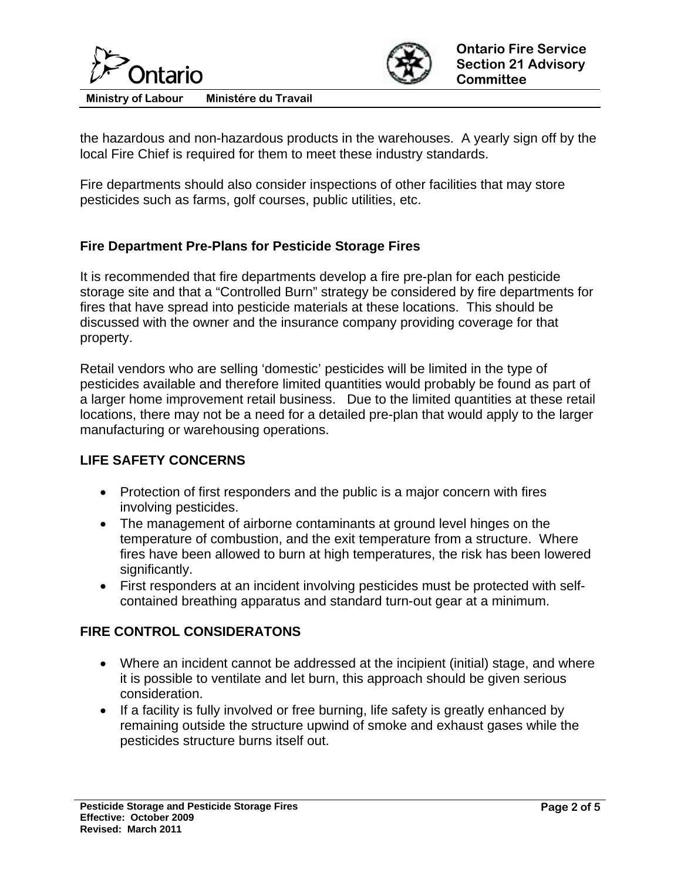



the hazardous and non-hazardous products in the warehouses. A yearly sign off by the local Fire Chief is required for them to meet these industry standards.

Fire departments should also consider inspections of other facilities that may store pesticides such as farms, golf courses, public utilities, etc.

### **Fire Department Pre-Plans for Pesticide Storage Fires**

It is recommended that fire departments develop a fire pre-plan for each pesticide storage site and that a "Controlled Burn" strategy be considered by fire departments for fires that have spread into pesticide materials at these locations. This should be discussed with the owner and the insurance company providing coverage for that property.

Retail vendors who are selling 'domestic' pesticides will be limited in the type of pesticides available and therefore limited quantities would probably be found as part of a larger home improvement retail business. Due to the limited quantities at these retail locations, there may not be a need for a detailed pre-plan that would apply to the larger manufacturing or warehousing operations.

#### **LIFE SAFETY CONCERNS**

- Protection of first responders and the public is a major concern with fires involving pesticides.
- The management of airborne contaminants at ground level hinges on the temperature of combustion, and the exit temperature from a structure. Where fires have been allowed to burn at high temperatures, the risk has been lowered significantly.
- First responders at an incident involving pesticides must be protected with selfcontained breathing apparatus and standard turn-out gear at a minimum.

#### **FIRE CONTROL CONSIDERATONS**

- Where an incident cannot be addressed at the incipient (initial) stage, and where it is possible to ventilate and let burn, this approach should be given serious consideration.
- If a facility is fully involved or free burning, life safety is greatly enhanced by remaining outside the structure upwind of smoke and exhaust gases while the pesticides structure burns itself out.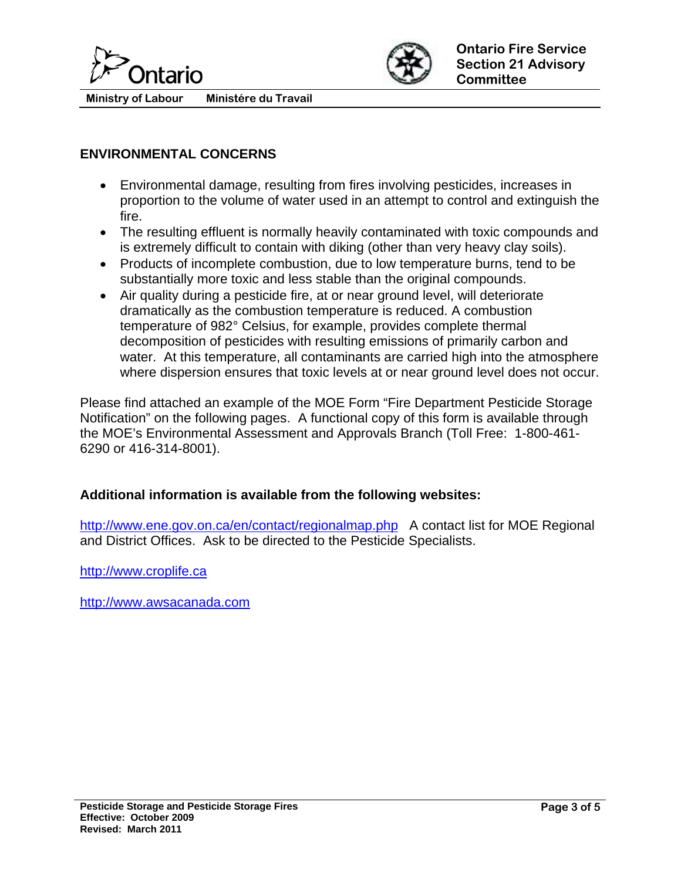



#### **ENVIRONMENTAL CONCERNS**

- Environmental damage, resulting from fires involving pesticides, increases in proportion to the volume of water used in an attempt to control and extinguish the fire.
- The resulting effluent is normally heavily contaminated with toxic compounds and is extremely difficult to contain with diking (other than very heavy clay soils).
- Products of incomplete combustion, due to low temperature burns, tend to be substantially more toxic and less stable than the original compounds.
- Air quality during a pesticide fire, at or near ground level, will deteriorate dramatically as the combustion temperature is reduced. A combustion temperature of 982° Celsius, for example, provides complete thermal decomposition of pesticides with resulting emissions of primarily carbon and water. At this temperature, all contaminants are carried high into the atmosphere where dispersion ensures that toxic levels at or near ground level does not occur.

Please find attached an example of the MOE Form "Fire Department Pesticide Storage Notification" on the following pages. A functional copy of this form is available through the MOE's Environmental Assessment and Approvals Branch (Toll Free: 1-800-461- 6290 or 416-314-8001).

#### **Additional information is available from the following websites:**

<http://www.ene.gov.on.ca/en/contact/regionalmap.php> A contact list for MOE Regional and District Offices. Ask to be directed to the Pesticide Specialists.

[http://www.croplife.ca](http://www.croplife.ca/)

[http://www.awsacanada.com](http://www.awsacanada.com/)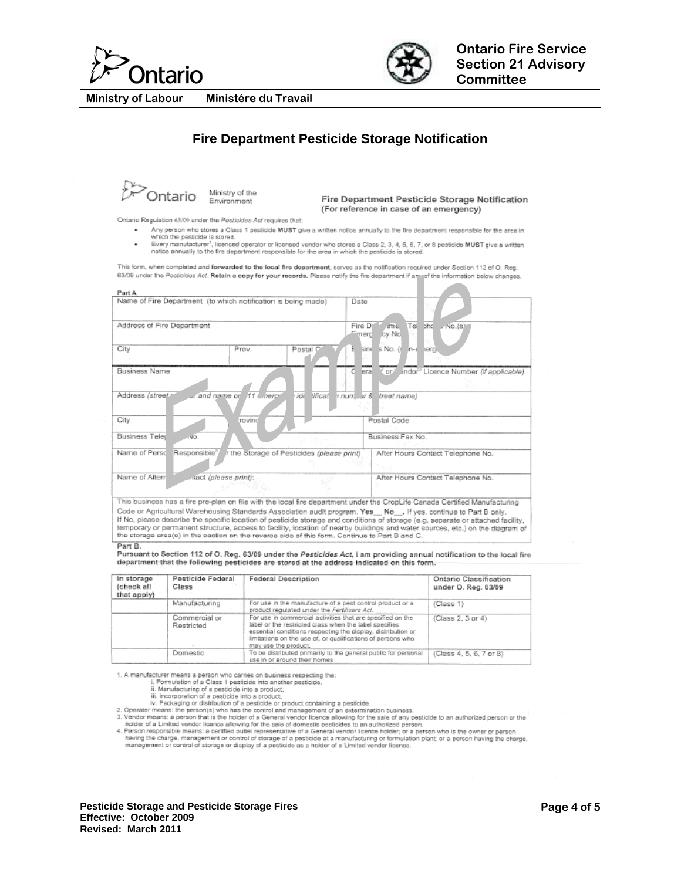



Ministére du Travail **Ministry of Labour** 

#### **Fire Department Pesticide Storage Notification**

**D**Ontario

Ministry of the Environment

Fire Department Pesticide Storage Notification (For reference in case of an emergency)

Ontario Regulation 63/09 under the Pesticides Act requires that:

- .<br>Any person who stores a Class 1 pesticide MUST give a written notice annually to the fire department responsible for the area in
- which the pesticide is stored.<br>Which the pesticide is stored.<br>Every manufacturer<sup>1</sup>, licensed operator or licensed vendor who stores a Class 2, 3, 4, 5, 6, 7, or 8 pesticide MUST give a written notice annually to the fire department responsible for the area in which the pesticide is store

This form, when completed and forwarded to the local fire department, serves as the notification required under Section 112 of O. Reg. 63/09 under the Pesticides Act. Retain a copy for your records. Please notify the fire department if any of the information below changes.

| Name of Fire Department (to which notification is being made)          | Date                     |                                  |       |                                |                                              |  |
|------------------------------------------------------------------------|--------------------------|----------------------------------|-------|--------------------------------|----------------------------------------------|--|
|                                                                        |                          |                                  |       |                                |                                              |  |
|                                                                        |                          |                                  |       |                                |                                              |  |
| Address of Fire Department                                             |                          |                                  |       | Fire Do me Tel the rvo.(s)     |                                              |  |
|                                                                        |                          |                                  |       | Emerg cy No                    |                                              |  |
| City                                                                   | Prov.                    |                                  |       |                                |                                              |  |
|                                                                        |                          | Postal O                         |       | E sine s No. (<br>$n-\epsilon$ | hero.                                        |  |
|                                                                        |                          |                                  |       |                                |                                              |  |
| Business Name                                                          |                          |                                  | leral |                                | * or / sndor" Licence Number (if applicable) |  |
|                                                                        |                          |                                  |       |                                |                                              |  |
|                                                                        |                          |                                  |       |                                |                                              |  |
|                                                                        |                          |                                  |       |                                |                                              |  |
| Address (street                                                        | ur and name or 11 uneror | ide tificat number & treet name) |       |                                |                                              |  |
|                                                                        |                          |                                  |       |                                |                                              |  |
| City.                                                                  | trovindi                 |                                  |       | Postal Code                    |                                              |  |
|                                                                        |                          |                                  |       |                                |                                              |  |
| $-10.$                                                                 |                          |                                  |       | Business Fax No.               |                                              |  |
| <b>Business Tele</b>                                                   |                          |                                  |       |                                |                                              |  |
| Name of Perst Responsible" Ir the Storage of Pesticides (please print) |                          |                                  |       |                                | After Hours Contact Telephone No.            |  |
|                                                                        |                          |                                  |       |                                |                                              |  |
|                                                                        |                          |                                  |       |                                |                                              |  |
| Name of Alterr                                                         | tact (please print):     |                                  |       |                                | After Hours Contact Telephone No.            |  |
|                                                                        |                          |                                  |       |                                |                                              |  |

If No, please describe the specific location of pesticide storage and conditions of storage (e.g. separate or attached facility, temporary or permanent structure, access to facility, location of nearby buildings and water

Part B

Pursuant to Section 112 of O. Reg. 63/09 under the Pesticides Act, I am providing annual notification to the local fire department that the following pesticides are stored at the address indicated on this form.

| in storage<br>(check all<br>that apply) | Pesticide Federal<br>Class  | Federal Description                                                                                                                                                                                                                                                         | Ontario Classification<br>under O. Reg. 63/09 |  |
|-----------------------------------------|-----------------------------|-----------------------------------------------------------------------------------------------------------------------------------------------------------------------------------------------------------------------------------------------------------------------------|-----------------------------------------------|--|
|                                         | Manufacturing               | For use in the manufacture of a pest control product or a<br>product requisied under the Fertilizers Act.                                                                                                                                                                   | (Class 1)                                     |  |
|                                         | Commercial or<br>Restricted | For use in commercial activities that are specified on the<br>label or the restricted class when the label specifies<br>essential conditions respecting the display, distribution or<br>limitations on the use of, or qualifications of persons who<br>may use the product. | (Class 2, 3 or 4)                             |  |
|                                         | Domestic                    | To be distributed primarily to the general public for personal<br>use in or around their homes                                                                                                                                                                              | (Class 4, 5, 6, 7 or 8)                       |  |

1. A manufacturer means a person who carries on business respecting the:

- 
- 
- 

1. A manufacturer means a person who carries on business respecting the:<br>
i. Formulation of a Class 1 pesticide into a product,<br>
ii. Manufacturing of a pesticide into a product,<br>
iii. Incorporation of a pesticide into a pr